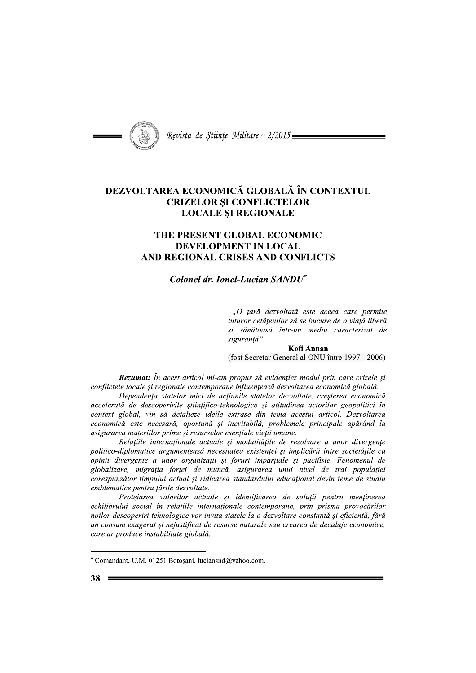

Revista de Științe Militare ~ 2/2015 =

## DEZVOLTAREA ECONOMICĂ GLOBALĂ ÎN CONTEXTUL **CRIZELOR ȘI CONFLICTELOR LOCALE SI REGIONALE**

## THE PRESENT GLOBAL ECONOMIC **DEVELOPMENT IN LOCAL** AND REGIONAL CRISES AND CONFLICTS

## Colonel dr. Ionel-Lucian SANDU<sup>\*</sup>

"O tară dezvoltată este aceea care permite tuturor cetătenilor să se bucure de o viată liberă si sănătoasă într-un mediu caracterizat de sigurantă"

Kofi Annan (fost Secretar General al ONU între 1997 - 2006)

**Rezumat:** În acest articol mi-am propus să evidentiez modul prin care crizele si conflictele locale și regionale contemporane influențează dezvoltarea economică globală.

Dependența statelor mici de acțiunile statelor dezvoltate, creșterea economică accelerată de descoperirile științifico-tehnologice și atitudinea actorilor geopolitici în context global, vin să detalieze ideile extrase din tema acestui articol. Dezvoltarea economică este necesară, oportună și inevitabilă, problemele principale apărând la asigurarea materiilor prime și resurselor esențiale vieții umane.

Relațiile internaționale actuale și modalitățile de rezolvare a unor divergențe politico-diplomatice argumentează necesitatea existenței și implicării între societățile cu opinii divergente a unor organizatii si foruri impartiale si pacifiste. Fenomenul de globalizare, migrația forței de muncă, asigurarea unui nivel de trai populației corespunzător timpului actual și ridicarea standardului educațional devin teme de studiu emblematice pentru țările dezvoltate.

Protejarea valorilor actuale și identificarea de soluții pentru menținerea echilibrului social în relațiile internaționale contemporane, prin prisma provocărilor noilor descoperiri tehnologice vor invita statele la o dezvoltare constantă și eficientă, fără un consum exagerat și nejustificat de resurse naturale sau crearea de decalaje economice, care ar produce instabilitate globală.

<sup>\*</sup> Comandant, U.M. 01251 Botoșani, luciansnd@yahoo.com.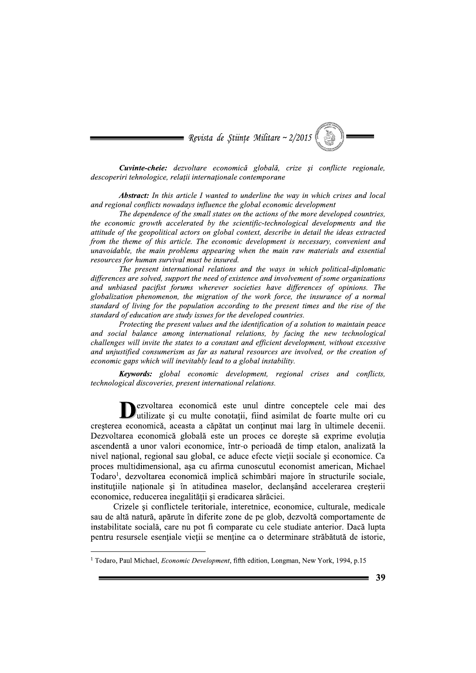

Cuvinte-cheie: dezvoltare economică globală, crize și conflicte regionale, descoperiri tehnologice, relații internaționale contemporane

**Abstract:** In this article I wanted to underline the way in which crises and local and regional conflicts nowadays influence the global economic development

The dependence of the small states on the actions of the more developed countries, the economic growth accelerated by the scientific-technological developments and the attitude of the geopolitical actors on global context, describe in detail the ideas extracted from the theme of this article. The economic development is necessary, convenient and unavoidable, the main problems appearing when the main raw materials and essential resources for human survival must be insured.

The present international relations and the ways in which political-diplomatic differences are solved, support the need of existence and involvement of some organizations and unbiased pacifist forums wherever societies have differences of opinions. The globalization phenomenon, the migration of the work force, the insurance of a normal standard of living for the population according to the present times and the rise of the standard of education are study issues for the developed countries.

Protecting the present values and the identification of a solution to maintain peace and social balance among international relations, by facing the new technological challenges will invite the states to a constant and efficient development, without excessive and unjustified consumerism as far as natural resources are involved, or the creation of economic gaps which will inevitably lead to a global instability.

**Keywords:** global economic development, regional crises and conflicts, technological discoveries, present international relations.

ezvoltarea economică este unul dintre conceptele cele mai des U executarea economica con una come constante de foarte multe ori cu cresterea economică, aceasta a căpătat un continut mai larg în ultimele decenii. Dezvoltarea economică globală este un proces ce doreste să exprime evolutia ascendentă a unor valori economice, într-o perioadă de timp etalon, analizată la nivel național, regional sau global, ce aduce efecte vieții sociale și economice. Ca proces multidimensional, așa cu afirma cunoscutul economist american, Michael Todaro<sup>1</sup>, dezvoltarea economică implică schimbări majore în structurile sociale, institutiile nationale si în atitudinea maselor, declansând accelerarea cresterii economice, reducerea inegalității și eradicarea sărăciei.

Crizele și conflictele teritoriale, interetnice, economice, culturale, medicale sau de altă natură, apărute în diferite zone de pe glob, dezvoltă comportamente de instabilitate socială, care nu pot fi comparate cu cele studiate anterior. Dacă lupta pentru resursele esențiale vieții se menține ca o determinare străbătută de istorie,

<sup>&</sup>lt;sup>1</sup> Todaro, Paul Michael, *Economic Development*, fifth edition, Longman, New York, 1994, p.15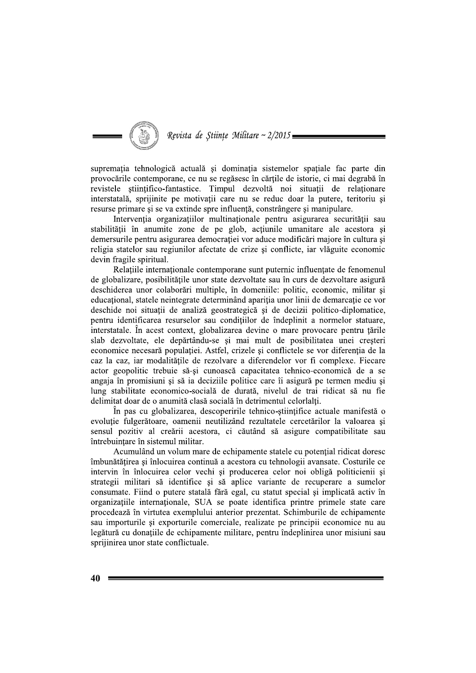

supremația tehnologică actuală și dominația sistemelor spațiale fac parte din provocările contemporane, ce nu se regăsesc în cărțile de istorie, ci mai degrabă în revistele științifico-fantastice. Timpul dezvoltă noi situații de relaționare interstatală, sprijinite pe motivații care nu se reduc doar la putere, teritoriu și resurse primare si se va extinde spre influentă, constrângere si manipulare.

Intervenția organizațiilor multinaționale pentru asigurarea securității sau stabilității în anumite zone de pe glob, acțiunile umanitare ale acestora si demersurile pentru asigurarea democrației vor aduce modificări majore în cultura și religia statelor sau regiunilor afectate de crize și conflicte, iar vlăguite economic devin fragile spiritual.

Relatiile internationale contemporane sunt puternic influentate de fenomenul de globalizare, posibilitățile unor state dezvoltate sau în curs de dezvoltare asigură deschiderea unor colaborări multiple, în domeniile: politic, economic, militar si educațional, statele neintegrate determinând apariția unor linii de demarcație ce vor deschide noi situații de analiză geostrategică și de decizii politico-diplomatice, pentru identificarea resurselor sau conditiilor de îndeplinit a normelor statuare, interstatale. În acest context, globalizarea devine o mare provocare pentru tările slab dezvoltate, ele depărtându-se și mai mult de posibilitatea unei creșteri economice necesară populației. Astfel, crizele și conflictele se vor diferenția de la caz la caz, iar modalitățile de rezolvare a diferendelor vor fi complexe. Fiecare actor geopolitic trebuie să-si cunoască capacitatea tehnico-economică de a se angaja în promisiuni și să ia deciziile politice care îi asigură pe termen mediu și lung stabilitate economico-socială de durată, nivelul de trai ridicat să nu fie delimitat doar de o anumită clasă socială în detrimentul celorlalți.

În pas cu globalizarea, descoperirile tehnico-științifice actuale manifestă o evoluție fulgerătoare, oamenii neutilizând rezultatele cercetărilor la valoarea și sensul pozitiv al creării acestora, ci căutând să asigure compatibilitate sau întrebuințare în sistemul militar.

Acumulând un volum mare de echipamente statele cu potențial ridicat doresc îmbunătățirea și înlocuirea continuă a acestora cu tehnologii avansate. Costurile ce intervin în înlocuirea celor vechi și producerea celor noi obligă politicienii și strategii militari să identifice și să aplice variante de recuperare a sumelor consumate. Fiind o putere statală fără egal, cu statut special și implicată activ în organizatiile internationale, SUA se poate identifica printre primele state care procedează în virtutea exemplului anterior prezentat. Schimburile de echipamente sau importurile si exporturile comerciale, realizate pe principii economice nu au legătură cu donatiile de echipamente militare, pentru îndeplinirea unor misiuni sau sprijinirea unor state conflictuale.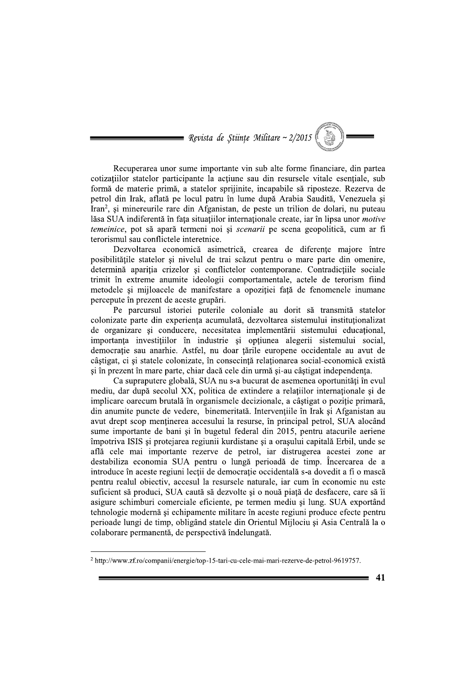

Recuperarea unor sume importante vin sub alte forme financiare, din partea cotizațiilor statelor participante la acțiune sau din resursele vitale esențiale, sub formă de materie primă, a statelor spriiinite, incapabile să riposteze. Rezerva de petrol din Irak, aflată pe locul patru în lume după Arabia Saudită, Venezuela și Iran<sup>2</sup>, si minereurile rare din Afganistan, de peste un trilion de dolari, nu puteau lăsa SUA indiferentă în fața situațiilor internaționale create, iar în lipsa unor *motive* temeinice, pot să apară termeni noi și *scenarii* pe scena geopolitică, cum ar fi terorismul sau conflictele interetnice.

Dezvoltarea economică asimetrică, crearea de diferențe majore între posibilitățile statelor și nivelul de trai scăzut pentru o mare parte din omenire, determină apariția crizelor și conflictelor contemporane. Contradicțiile sociale trimit în extreme anumite ideologii comportamentale, actele de terorism fiind metodele si mijloacele de manifestare a opozitiei fată de fenomenele inumane percepute în prezent de aceste grupări.

Pe parcursul istoriei puterile coloniale au dorit să transmită statelor colonizate parte din experienta acumulată, dezvoltarea sistemului instituționalizat de organizare si conducere, necesitatea implementării sistemului educational, importanța investițiilor în industrie și opțiunea alegerii sistemului social, democrație sau anarhie. Astfel, nu doar țările europene occidentale au avut de câștigat, ci și statele colonizate, în consecință relaționarea social-economică există și în prezent în mare parte, chiar dacă cele din urmă și-au câștigat independența.

Ca supraputere globală, SUA nu s-a bucurat de asemenea oportunități în evul mediu, dar după secolul XX, politica de extindere a relațiilor internaționale și de implicare oarecum brutală în organismele decizionale, a câștigat o poziție primară, din anumite puncte de vedere, binemeritată. Intervențiile în Irak și Afganistan au avut drept scop menținerea accesului la resurse, în principal petrol, SUA alocând sume importante de bani și în bugetul federal din 2015, pentru atacurile aeriene împotriva ISIS și protejarea regiunii kurdistane și a orașului capitală Erbil, unde se află cele mai importante rezerve de petrol, iar distrugerea acestei zone ar destabiliza economia SUA pentru o lungă perioadă de timp. Încercarea de a introduce în aceste regiuni lecții de democrație occidentală s-a dovedit a fi o mască pentru realul objectiv, accesul la resursele naturale, iar cum în economie nu este suficient să produci, SUA caută să dezvolte și o nouă piață de desfacere, care să îi asigure schimburi comerciale eficiente, pe termen mediu și lung. SUA exportând tehnologie modernă și echipamente militare în aceste regiuni produce efecte pentru perioade lungi de timp, obligând statele din Orientul Mijlociu și Asia Centrală la o colaborare permanentă, de perspectivă îndelungată.

<sup>&</sup>lt;sup>2</sup> http://www.zf.ro/companii/energie/top-15-tari-cu-cele-mai-mari-rezerve-de-petrol-9619757.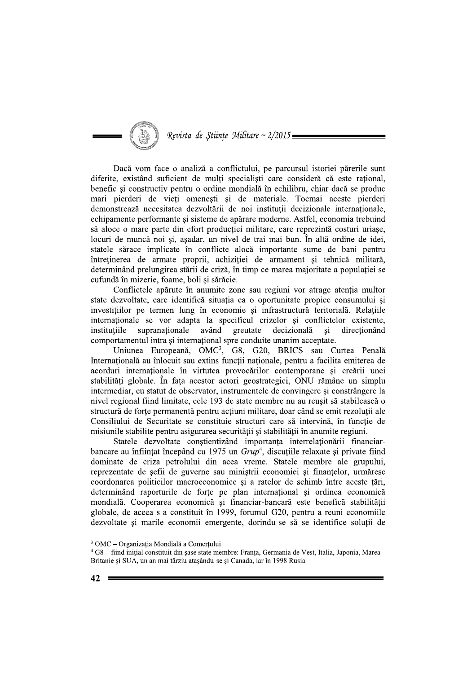Revista de Stiințe Militare ~ 2/2015.

Dacă vom face o analiză a conflictului, pe parcursul istoriei părerile sunt diferite, existând suficient de mulți specialiști care consideră că este rațional, benefic si constructiv pentru o ordine mondială în echilibru, chiar dacă se produc mari pierderi de vieți omenești și de materiale. Tocmai aceste pierderi demonstrează necesitatea dezvoltării de noi institutii decizionale internationale, echipamente performante și sisteme de apărare moderne. Astfel, economia trebuind să aloce o mare parte din efort producției militare, care reprezintă costuri uriașe, locuri de muncă noi și, asadar, un nivel de trai mai bun. În altă ordine de idei, statele sărace implicate în conflicte alocă importante sume de bani pentru întreținerea de armate proprii, achiziției de armament și tehnică militară, determinând prelungirea stării de criză, în timp ce marea maioritate a populației se cufundă în mizerie, foame, boli si sărăcie.

Conflictele apărute în anumite zone sau regiuni vor atrage atenția multor state dezvoltate, care identifică situația ca o oportunitate propice consumului și investițiilor pe termen lung în economie și infrastructură teritorială. Relațiile internationale se vor adapta la specificul crizelor si conflictelor existente, supranationale având greutate decizională institutiile  $\overline{\mathbf{s}}$ i directionand comportamentul intra și internațional spre conduite unanim acceptate.

Uniunea Europeană, OMC<sup>3</sup>, G8, G20, BRICS sau Curtea Penală Internațională au înlocuit sau extins funcții naționale, pentru a facilita emiterea de acorduri internaționale în virtutea provocărilor contemporane și creării unei stabilități globale. În fața acestor actori geostrategici, ONU rămâne un simplu intermediar, cu statut de observator, instrumentele de convingere si constrângere la nivel regional fiind limitate, cele 193 de state membre nu au reusit să stabilească o structură de forțe permanentă pentru acțiuni militare, doar când se emit rezoluții ale Consiliului de Securitate se constituie structuri care să intervină, în funcție de misiunile stabilite pentru asigurarea securității și stabilității în anumite regiuni.

Statele dezvoltate conștientizând importanța interrelaționării financiarbancare au înființat începând cu 1975 un  $Grup<sup>4</sup>$ , discuțiile relaxate și private fiind dominate de criza petrolului din acea vreme. Statele membre ale grupului, reprezentate de sefii de guverne sau ministrii economiei si finantelor, urmăresc coordonarea politicilor macroeconomice și a ratelor de schimb între aceste țări, determinând raporturile de forțe pe plan internațional și ordinea economică mondială. Cooperarea economică și financiar-bancară este benefică stabilității globale, de aceea s-a constituit în 1999, forumul G20, pentru a reuni economiile dezvoltate si marile economii emergente, dorindu-se să se identifice solutii de

<sup>&</sup>lt;sup>3</sup> OMC - Organizația Mondială a Comerțului

 $4$  G8 – fiind inițial constituit din șase state membre: Franța, Germania de Vest, Italia, Japonia, Marea Britanie și SUA, un an mai târziu atașându-se și Canada, iar în 1998 Rusia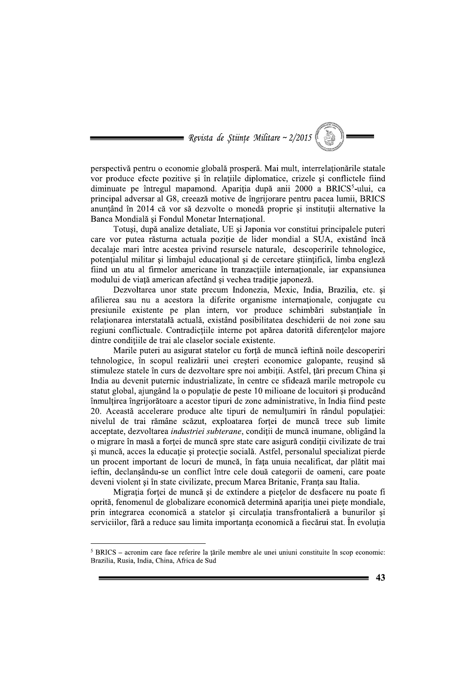

perspectivă pentru o economie globală prosperă. Mai mult, interrelaționările statale vor produce efecte pozitive și în relațiile diplomatice, crizele și conflictele fiind diminuate pe întregul mapamond. Aparitia după anii 2000 a BRICS<sup>5</sup>-ului, ca principal adversar al G8, creează motive de îngrijorare pentru pacea lumii, BRICS anuntând în 2014 că vor să dezvolte o monedă proprie si institutii alternative la Banca Mondială și Fondul Monetar Internațional.

Totuși, după analize detaliate, UE și Japonia vor constitui principalele puteri care vor putea răsturna actuala poziție de lider mondial a SUA, existând încă decalaje mari între acestea privind resursele naturale, descoperirile tehnologice, potențialul militar și limbajul educațional și de cercetare științifică, limba engleză fiind un atu al firmelor americane în tranzactiile internationale, iar expansiunea modului de viață american afectând și vechea tradiție japoneză.

Dezvoltarea unor state precum Indonezia, Mexic, India, Brazilia, etc. si afilierea sau nu a acestora la diferite organisme internaționale, conjugate cu presiunile existente pe plan intern, vor produce schimbări substanțiale în relationarea interstatală actuală, existând posibilitatea deschiderii de noi zone sau regiuni conflictuale. Contradicțiile interne pot apărea datorită diferențelor majore dintre condițiile de trai ale claselor sociale existente.

Marile puteri au asigurat statelor cu forță de muncă ieftină noile descoperiri tehnologice, în scopul realizării unei creșteri economice galopante, reușind să stimuleze statele în curs de dezvoltare spre noi ambiții. Astfel, țări precum China și India au devenit puternic industrializate, în centre ce sfidează marile metropole cu statut global, ajungând la o populație de peste 10 milioane de locuitori și producând înmultirea îngrijorătoare a acestor tipuri de zone administrative, în India fiind peste 20. Această accelerare produce alte tipuri de nemulțumiri în rândul populației: nivelul de trai rămâne scăzut, exploatarea forței de muncă trece sub limite acceptate, dezvoltarea industriei subterane, condiții de muncă inumane, obligând la o migrare în masă a forței de muncă spre state care asigură condiții civilizate de trai și muncă, acces la educație și protecție socială. Astfel, personalul specializat pierde un procent important de locuri de muncă, în fața unuia necalificat, dar plătit mai ieftin, declansându-se un conflict între cele două categorii de oameni, care poate deveni violent și în state civilizate, precum Marea Britanie, Franța sau Italia.

Migrația forței de muncă și de extindere a piețelor de desfacere nu poate fi oprită, fenomenul de globalizare economică determină apariția unei piețe mondiale, prin integrarea economică a statelor și circulația transfrontalieră a bunurilor și serviciilor, fără a reduce sau limita importanta economică a fiecărui stat. În evolutia

 $5$  BRICS – acronim care face referire la tările membre ale unei uniuni constituite în scop economic: Brazilia, Rusia, India, China, Africa de Sud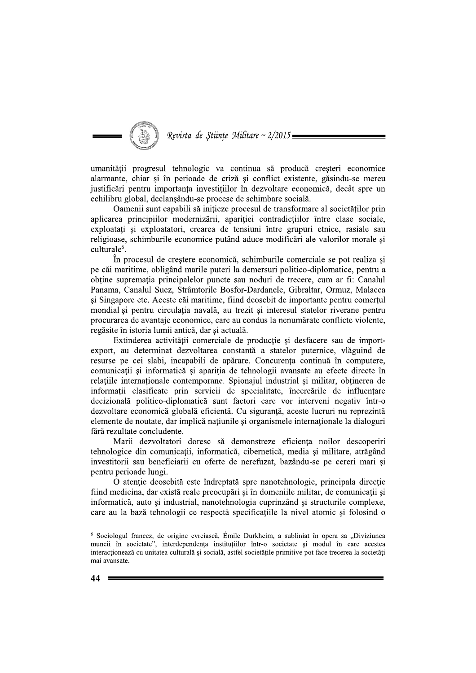# Revista de Științe Militare ~ 2/2015:

umanității progresul tehnologic va continua să producă creșteri economice alarmante, chiar și în perioade de criză și conflict existente, găsindu-se mereu justificări pentru importanta investitiilor în dezvoltare economică, decât spre un echilibru global, declansându-se procese de schimbare socială.

Oamenii sunt capabili să initieze procesul de transformare al societăților prin aplicarea principiilor modernizării, apariției contradicțiilor între clase sociale, exploatați și exploatatori, crearea de tensiuni între grupuri etnice, rasiale sau religioase, schimburile economice putând aduce modificări ale valorilor morale și culturale<sup>6</sup>.

În procesul de crestere economică, schimburile comerciale se pot realiza și pe căi maritime, obligând marile puteri la demersuri politico-diplomatice, pentru a obține supremația principalelor puncte sau noduri de trecere, cum ar fi: Canalul Panama, Canalul Suez, Strâmtorile Bosfor-Dardanele, Gibraltar, Ormuz, Malacca si Singapore etc. Aceste căi maritime, fiind deosebit de importante pentru comertul mondial și pentru circulația navală, au trezit și interesul statelor riverane pentru procurarea de avantaje economice, care au condus la nenumărate conflicte violente, regăsite în istoria lumii antică, dar și actuală.

Extinderea activității comerciale de producție și desfacere sau de importexport, au determinat dezvoltarea constantă a statelor puternice, vlăguind de resurse pe cei slabi, incapabili de apărare. Concurența continuă în computere, comunicații și informatică și apariția de tehnologii avansate au efecte directe în relatiile internationale contemporane. Spionajul industrial si militar, obtinerea de informatii clasificate prin servicii de specialitate, încercările de influentare decizională politico-diplomatică sunt factori care vor interveni negativ într-o dezvoltare economică globală eficientă. Cu siguranță, aceste lucruri nu reprezintă elemente de noutate, dar implică națiunile și organismele internaționale la dialoguri fără rezultate concludente.

Marii dezvoltatori doresc să demonstreze eficiența noilor descoperiri tehnologice din comunicații, informatică, cibernetică, media și militare, atrăgând investitorii sau beneficiarii cu oferte de nerefuzat, bazându-se pe cereri mari și pentru perioade lungi.

O atenție deosebită este îndreptată spre nanotehnologie, principala direcție fiind medicina, dar există reale preocupări și în domeniile militar, de comunicații și informatică, auto și industrial, nanotehnologia cuprinzând și structurile complexe, care au la bază tehnologii ce respectă specificatiile la nivel atomic si folosind o

<sup>&</sup>lt;sup>6</sup> Sociologul francez, de origine evreiască, Émile Durkheim, a subliniat în opera sa "Diviziunea muncii în societate", interdependența instituțiilor într-o societate și modul în care acestea interacționează cu unitatea culturală și socială, astfel societățile primitive pot face trecerea la societăți mai avansate.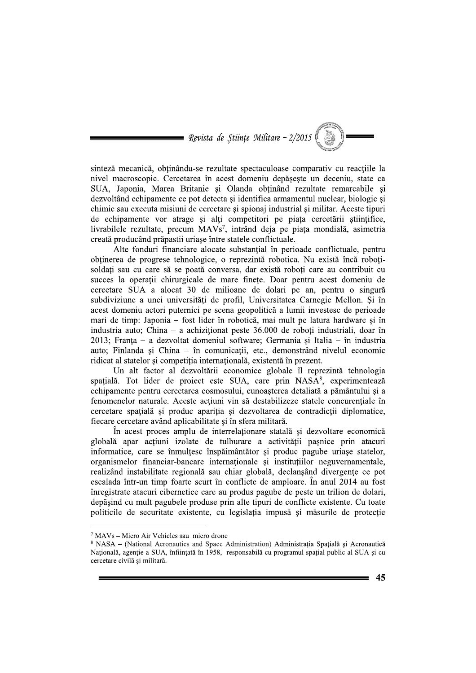

sinteză mecanică, obținându-se rezultate spectaculoase comparativ cu reacțiile la nivel macroscopic. Cercetarea în acest domeniu depășește un deceniu, state ca SUA, Japonia, Marea Britanie și Olanda obținând rezultate remarcabile și dezvoltând echipamente ce pot detecta și identifica armamentul nuclear, biologic și chimic sau executa misiuni de cercetare si spionaj industrial si militar. Aceste tipuri de echipamente vor atrage și alți competitori pe piața cercetării științifice, livrabilele rezultate, precum MAVs<sup>7</sup>, intrând deja pe piața mondială, asimetria creată producând prăpastii uriașe între statele conflictuale.

Alte fonduri financiare alocate substantial în perioade conflictuale, pentru obtinerea de progrese tehnologice, o reprezintă robotica. Nu există încă robotisoldati sau cu care să se poată conversa, dar există roboti care au contribuit cu succes la operații chirurgicale de mare finețe. Doar pentru acest domeniu de cercetare SUA a alocat 30 de milioane de dolari pe an, pentru o singură subdiviziune a unei universități de profil, Universitatea Carnegie Mellon. Și în acest domeniu actori puternici pe scena geopolitică a lumii investesc de perioade mari de timp: Japonia - fost lider în robotică, mai mult pe latura hardware și în industria auto: China – a achizitionat peste  $36,000$  de roboti industriali, doar în 2013: Franța - a dezvoltat domeniul software; Germania și Italia - în industria auto; Finlanda și China – în comunicații, etc., demonstrând nivelul economic ridicat al statelor și competiția internațională, existentă în prezent.

Un alt factor al dezvoltării economice globale îl reprezintă tehnologia spațială. Tot lider de proiect este SUA, care prin NASA<sup>8</sup>, experimentează echipamente pentru cercetarea cosmosului, cunoasterea detaliată a pământului și a fenomenelor naturale. Aceste acțiuni vin să destabilizeze statele concurențiale în cercetare spațială și produc apariția și dezvoltarea de contradicții diplomatice, fiecare cercetare având aplicabilitate și în sfera militară.

În acest proces amplu de interrelaționare statală și dezvoltare economică globală apar acțiuni izolate de tulburare a activității pașnice prin atacuri informatice, care se înmultesc înspăimântător și produc pagube uriașe statelor, organismelor financiar-bancare internationale și instituțiilor neguvernamentale, realizând instabilitate regională sau chiar globală, declanșând divergențe ce pot escalada într-un timp foarte scurt în conflicte de amploare. În anul 2014 au fost înregistrate atacuri cibernetice care au produs pagube de peste un trilion de dolari, depășind cu mult pagubele produse prin alte tipuri de conflicte existente. Cu toate politicile de securitate existente, cu legislatia impusă și măsurile de protectie

 $7$  MAVs – Micro Air Vehicles sau micro drone

<sup>&</sup>lt;sup>8</sup> NASA – (National Aeronautics and Space Administration) Administratia Spatială și Aeronautică Națională, agenție a SUA, înființată în 1958, responsabilă cu programul spațial public al SUA și cu cercetare civilă și militară.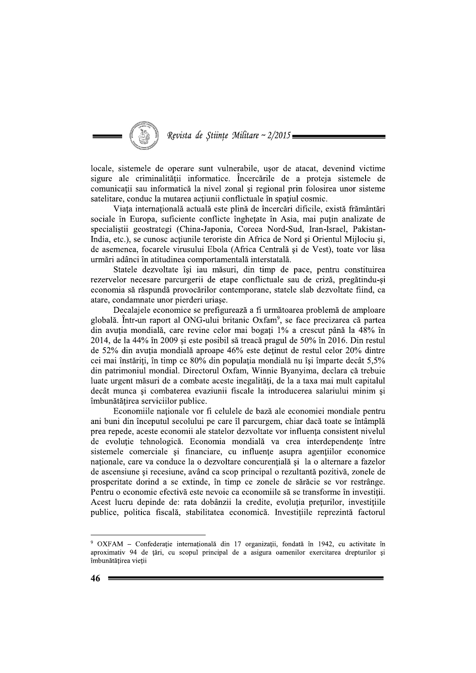

locale, sistemele de operare sunt vulnerabile, usor de atacat, devenind victime sigure ale criminalității informatice. Încercările de a proteja sistemele de comunicatii sau informatică la nivel zonal si regional prin folosirea unor sisteme satelitare, conduc la mutarea actiunii conflictuale în spațiul cosmic.

Viata internatională actuală este plină de încercări dificile, există frământări sociale în Europa, suficiente conflicte înghețate în Asia, mai puțin analizate de specialiștii geostrategi (China-Japonia, Coreea Nord-Sud, Iran-Israel, Pakistan-India, etc.), se cunosc acțiunile teroriste din Africa de Nord și Orientul Mijlociu și, de asemenea, focarele virusului Ebola (Africa Centrală și de Vest), toate vor lăsa urmări adânci în atitudinea comportamentală interstatală.

Statele dezvoltate își iau măsuri, din timp de pace, pentru constituirea rezervelor necesare parcurgerii de etape conflictuale sau de criză, pregătindu-și economia să răspundă provocărilor contemporane, statele slab dezvoltate fiind, ca atare, condamnate unor pierderi uriase.

Decalajele economice se prefigurează a fi următoarea problemă de amploare globală. Într-un raport al ONG-ului britanic Oxfam<sup>9</sup>, se face precizarea că partea din avuția mondială, care revine celor mai bogați 1% a crescut până la 48% în 2014, de la 44% în 2009 și este posibil să treacă pragul de 50% în 2016. Din restul de 52% din avuția mondială aproape 46% este deținut de restul celor 20% dintre cei mai înstăriți, în timp ce 80% din populația mondială nu își împarte decât 5,5% din patrimoniul mondial. Directorul Oxfam, Winnie Byanyima, declara că trebuie luate urgent măsuri de a combate aceste inegalități, de la a taxa mai mult capitalul decât munca și combaterea evaziunii fiscale la introducerea salariului minim și îmbunătătirea serviciilor publice.

Economiile naționale vor fi celulele de bază ale economiei mondiale pentru ani buni din începutul secolului pe care îl parcurgem, chiar dacă toate se întâmplă prea repede, aceste economii ale statelor dezvoltate vor influența consistent nivelul de evoluție tehnologică. Economia mondială va crea interdependențe între sistemele comerciale și financiare, cu influențe asupra agențiilor economice naționale, care va conduce la o dezvoltare concurențială și la o alternare a fazelor de ascensiune și recesiune, având ca scop principal o rezultantă pozitivă, zonele de prosperitate dorind a se extinde, în timp ce zonele de sărăcie se vor restrânge. Pentru o economie efectivă este nevoie ca economiile să se transforme în investiții. Acest lucru depinde de: rata dobânzii la credite, evoluția prețurilor, investițiile publice, politica fiscală, stabilitatea economică. Investitiile reprezintă factorul

<sup>&</sup>lt;sup>9</sup> OXFAM – Confederație internațională din 17 organizații, fondată în 1942, cu activitate în aproximativ 94 de țări, cu scopul principal de a asigura oamenilor exercitarea drepturilor și îmbunătătirea vietii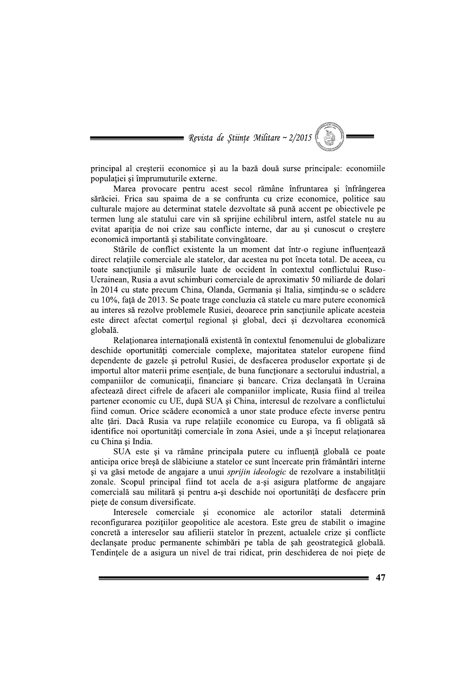

principal al creșterii economice și au la bază două surse principale: economiile populației și împrumuturile externe.

Marea provocare pentru acest secol rămâne înfruntarea și înfrângerea sărăciei. Frica sau spaima de a se confrunta cu crize economice, politice sau culturale majore au determinat statele dezvoltate să pună accent pe obiectivele pe termen lung ale statului care vin să sprijine echilibrul intern, astfel statele nu au evitat apariția de noi crize sau conflicte interne, dar au și cunoscut o creștere economică importantă și stabilitate convingătoare.

Stările de conflict existente la un moment dat într-o regiune influențează direct relatiile comerciale ale statelor, dar acestea nu pot înceta total. De aceea, cu toate sancțiunile și măsurile luate de occident în contextul conflictului Ruso-Ucrainean, Rusia a avut schimburi comerciale de aproximativ 50 miliarde de dolari în 2014 cu state precum China, Olanda, Germania și Italia, simtindu-se o scădere cu 10%, față de 2013. Se poate trage concluzia că statele cu mare putere economică au interes să rezolve problemele Rusiei, deoarece prin sancțiunile aplicate acesteia este direct afectat comertul regional și global, deci și dezvoltarea economică globală.

Relaționarea internațională existentă în contextul fenomenului de globalizare deschide oportunități comerciale complexe, majoritatea statelor europene fiind dependente de gazele și petrolul Rusiei, de desfacerea produselor exportate și de importul altor materii prime esențiale, de buna funcționare a sectorului industrial, a companiilor de comunicatii, financiare si bancare. Criza declansată în Ucraina afectează direct cifrele de afaceri ale companiilor implicate, Rusia fiind al treilea partener economic cu UE, după SUA și China, interesul de rezolvare a conflictului fiind comun. Orice scădere economică a unor state produce efecte inverse pentru alte țări. Dacă Rusia va rupe relațiile economice cu Europa, va fi obligată să identifice noi oportunități comerciale în zona Asiei, unde a și început relaționarea cu China și India.

SUA este și va rămâne principala putere cu influență globală ce poate anticipa orice breșă de slăbiciune a statelor ce sunt încercate prin frământări interne și va găsi metode de angajare a unui sprijin ideologic de rezolvare a instabilității zonale. Scopul principal fiind tot acela de a-si asigura platforme de angajare comercială sau militară și pentru a-și deschide noi oportunități de desfacere prin piețe de consum diversificate.

Interesele comerciale și economice ale actorilor statali determină reconfigurarea pozitiilor geopolitice ale acestora. Este greu de stabilit o imagine concretă a intereselor sau afilierii statelor în prezent, actualele crize si conflicte declansate produc permanente schimbări pe tabla de sah geostrategică globală. Tendintele de a asigura un nivel de trai ridicat, prin deschiderea de noi piete de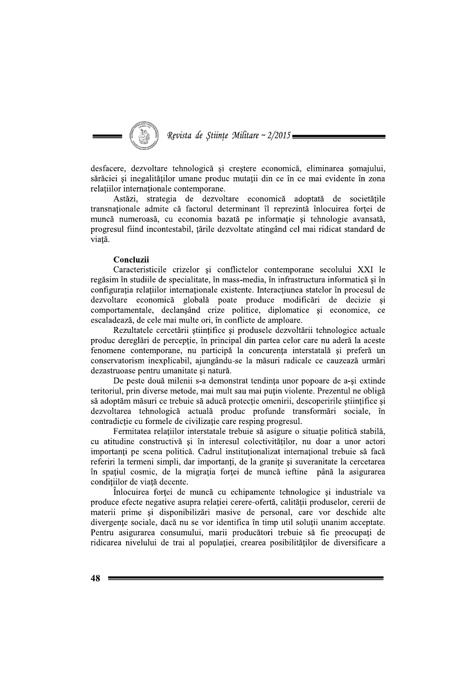

desfacere, dezvoltare tehnologică și creștere economică, eliminarea șomajului, sărăciei și inegalităților umane produc mutații din ce în ce mai evidente în zona relatiilor internationale contemporane.

Astăzi, strategia de dezvoltare economică adoptată de societățile transnationale admite că factorul determinant îl reprezintă înlocuirea fortei de muncă numeroasă, cu economia bazată pe informație și tehnologie avansată, progresul fiind incontestabil, țările dezvoltate atingând cel mai ridicat standard de viată.

## Concluzii

Caracteristicile crizelor si conflictelor contemporane secolului XXI le regăsim în studiile de specialitate, în mass-media, în infrastructura informatică și în configuratia relatiilor internationale existente. Interactiunea statelor în procesul de dezvoltare economică globală poate produce modificări de decizie și comportamentale, declanșând crize politice, diplomatice și economice, ce escaladează, de cele mai multe ori, în conflicte de amploare.

Rezultatele cercetării științifice și produsele dezvoltării tehnologice actuale produc dereglări de percepție, în principal din partea celor care nu aderă la aceste fenomene contemporane, nu participă la concurența interstatală și preferă un conservatorism inexplicabil, ajungându-se la măsuri radicale ce cauzează urmări dezastruoase pentru umanitate și natură.

De peste două milenii s-a demonstrat tendința unor popoare de a-si extinde teritoriul, prin diverse metode, mai mult sau mai puțin violente. Prezentul ne obligă să adoptăm măsuri ce trebuie să aducă protecție omenirii, descoperirile științifice și dezvoltarea tehnologică actuală produc profunde transformări sociale, în contradictie cu formele de civilizație care resping progresul.

Fermitatea relațiilor interstatale trebuie să asigure o situație politică stabilă, cu atitudine constructivă și în interesul colectivităților, nu doar a unor actori importanți pe scena politică. Cadrul instituționalizat internațional trebuie să facă referiri la termeni simpli, dar importanți, de la granițe și suveranitate la cercetarea în spațiul cosmic, de la migrația forței de muncă ieftine până la asigurarea condițiilor de viață decente.

Înlocuirea forței de muncă cu echipamente tehnologice și industriale va produce efecte negative asupra relatiei cerere-ofertă, calității produselor, cererii de materii prime și disponibilizări masive de personal, care vor deschide alte divergente sociale, dacă nu se vor identifica în timp util solutii unanim acceptate. Pentru asigurarea consumului, marii producători trebuie să fie preocupati de ridicarea nivelului de trai al populației, crearea posibilităților de diversificare a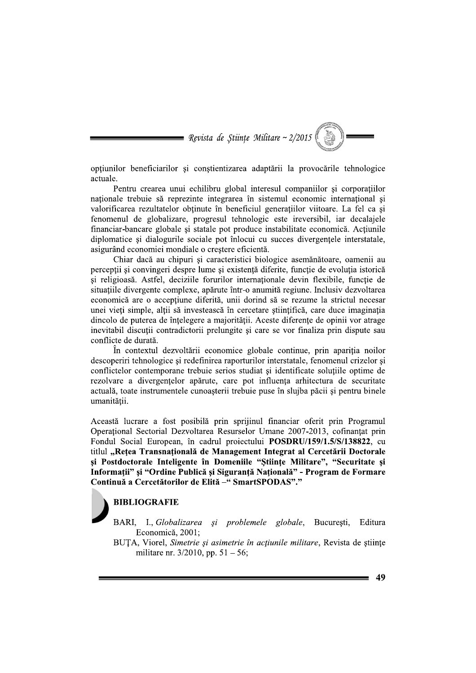Revista de Stiințe Militare ~  $2/2015$ 

optiunilor beneficiarilor și conștientizarea adaptării la provocările tehnologice actuale.

Pentru crearea unui echilibru global interesul companiilor si corporatiilor naționale trebuie să reprezinte integrarea în sistemul economic internațional și valorificarea rezultatelor obtinute în beneficiul generatiilor viitoare. La fel ca si fenomenul de globalizare, progresul tehnologic este ireversibil, iar decalajele financiar-bancare globale și statale pot produce instabilitate economică. Acțiunile diplomatice și dialogurile sociale pot înlocui cu succes divergențele interstatale, asigurând economiei mondiale o creștere eficientă.

Chiar dacă au chipuri și caracteristici biologice asemănătoare, oamenii au perceptii si convingeri despre lume si existentă diferite, functie de evolutia istorică și religioasă. Astfel, deciziile forurilor internaționale devin flexibile, funcție de situatiile divergente complexe, apărute într-o anumită regiune. Inclusiv dezvoltarea economică are o accepțiune diferită, unii dorind să se rezume la strictul necesar unei vieti simple, altii să investească în cercetare stiintifică, care duce imaginatia dincolo de puterea de întelegere a majorității. Aceste diferente de opinii vor atrage inevitabil discuții contradictorii prelungite și care se vor finaliza prin dispute sau conflicte de durată.

În contextul dezvoltării economice globale continue, prin apariția noilor descoperiri tehnologice și redefinirea raporturilor interstatale, fenomenul crizelor și conflictelor contemporane trebuie serios studiat și identificate soluțiile optime de rezolvare a divergentelor apărute, care pot influenta arhitectura de securitate actuală, toate instrumentele cunoasterii trebuie puse în slujba păcii și pentru binele umanității.

Această lucrare a fost posibilă prin sprijinul financiar oferit prin Programul Operational Sectorial Dezvoltarea Resurselor Umane 2007-2013, cofinantat prin Fondul Social European, în cadrul proiectului POSDRU/159/1.5/S/138822, cu titlul "Rețea Transnațională de Management Integrat al Cercetării Doctorale și Postdoctorale Inteligente în Domeniile "Științe Militare", "Securitate și Informații" și "Ordine Publică și Siguranță Națională" - Program de Formare Continuă a Cercetătorilor de Elită - "SmartSPODAS"."

## **BIBLIOGRAFIE**

- BARI. I., Globalizarea si problemele globale, Bucuresti, Editura Economică, 2001;
- BUTA, Viorel, Simetrie si asimetrie în acțiunile militare, Revista de stiinte militare nr.  $3/2010$ , pp.  $51 - 56$ ;